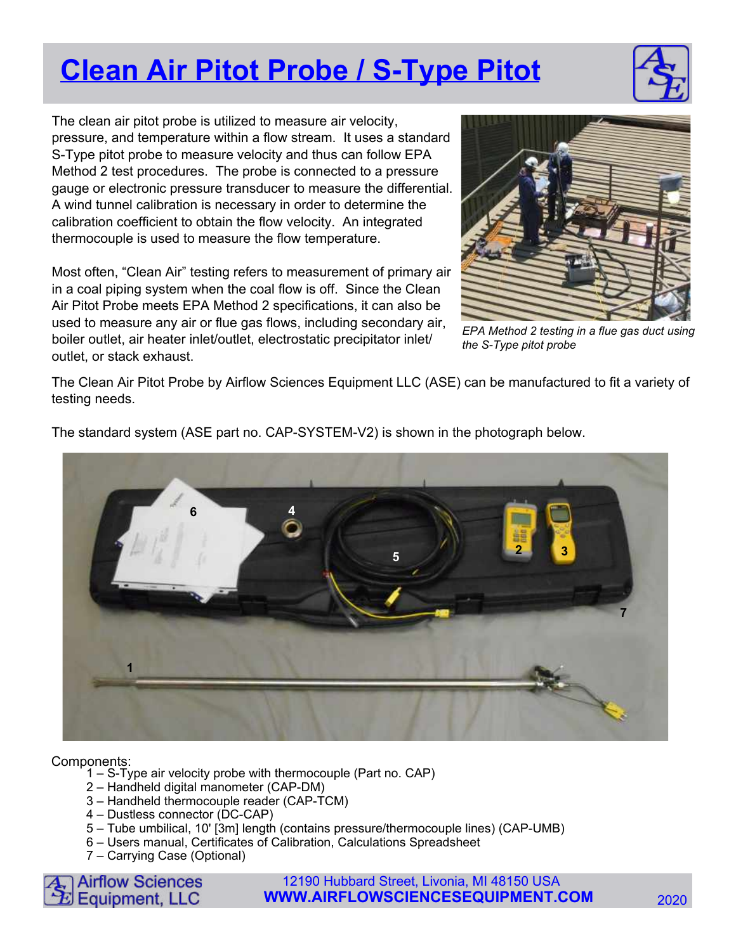## **Clean Air Pitot Probe / S-Type Pitot**

The clean air pitot probe is utilized to measure air velocity, pressure, and temperature within a flow stream. It uses a standard S-Type pitot probe to measure velocity and thus can follow EPA Method 2 test procedures. The probe is connected to a pressure gauge or electronic pressure transducer to measure the differential. A wind tunnel calibration is necessary in order to determine the calibration coefficient to obtain the flow velocity. An integrated thermocouple is used to measure the flow temperature.

Most often, "Clean Air" testing refers to measurement of primary air in a coal piping system when the coal flow is off. Since the Clean Air Pitot Probe meets EPA Method 2 specifications, it can also be used to measure any air or flue gas flows, including secondary air, boiler outlet, air heater inlet/outlet, electrostatic precipitator inlet/ outlet, or stack exhaust.



EPA Method 2 testing in a flue gas duct using the S-Type pitot probe

The Clean Air Pitot Probe by Airflow Sciences Equipment LLC (ASE) can be manufactured to fit a variety of testing needs.



The standard system (ASE part no. CAP-SYSTEM-V2) is shown in the photograph below.

## Components:

- 1 S-Type air velocity probe with thermocouple (Part no. CAP)
- 2 Handheld digital manometer (CAP-DM)
- 3 Handheld thermocouple reader (CAP-TCM)
- 4 Dustless connector (DC-CAP)
- 5 Tube umbilical, 10' [3m] length (contains pressure/thermocouple lines) (CAP-UMB)
- 6 Users manual, Certificates of Calibration, Calculations Spreadsheet
- 7 Carrying Case (Optional)



12190 Hubbard Street, Livonia, MI 48150 USA **WWW.AIRFLOWSCIENCESEQUIPMENT.COM** 2020